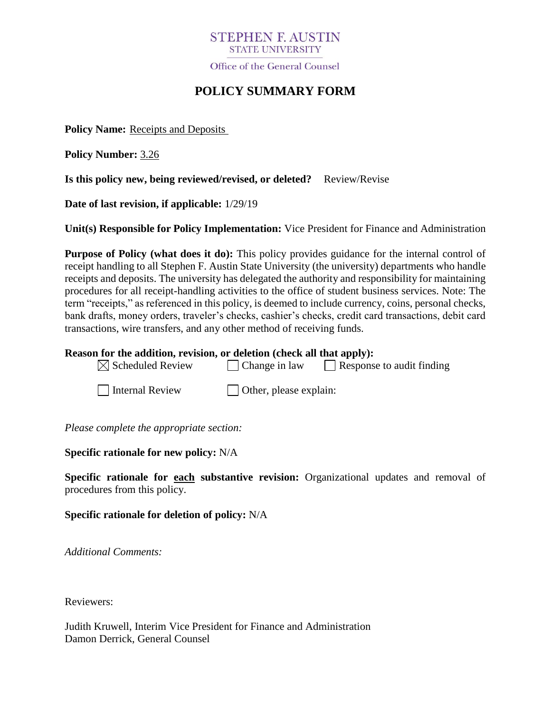# **STEPHEN E AUSTIN STATE UNIVERSITY**

Office of the General Counsel

# **POLICY SUMMARY FORM**

**Policy Name:** Receipts and Deposits

**Policy Number:** 3.26

**Is this policy new, being reviewed/revised, or deleted?** Review/Revise

**Date of last revision, if applicable:** 1/29/19

**Unit(s) Responsible for Policy Implementation:** Vice President for Finance and Administration

**Purpose of Policy (what does it do):** This policy provides guidance for the internal control of receipt handling to all Stephen F. Austin State University (the university) departments who handle receipts and deposits. The university has delegated the authority and responsibility for maintaining procedures for all receipt-handling activities to the office of student business services. Note: The term "receipts," as referenced in this policy, is deemed to include currency, coins, personal checks, bank drafts, money orders, traveler's checks, cashier's checks, credit card transactions, debit card transactions, wire transfers, and any other method of receiving funds.

#### **Reason for the addition, revision, or deletion (check all that apply):**

| $\boxtimes$ Scheduled Review | $\vert$ Change in law         | Response to audit finding |
|------------------------------|-------------------------------|---------------------------|
| Internal Review              | $\Box$ Other, please explain: |                           |

*Please complete the appropriate section:*

### **Specific rationale for new policy:** N/A

**Specific rationale for each substantive revision:** Organizational updates and removal of procedures from this policy.

**Specific rationale for deletion of policy:** N/A

*Additional Comments:*

Reviewers:

Judith Kruwell, Interim Vice President for Finance and Administration Damon Derrick, General Counsel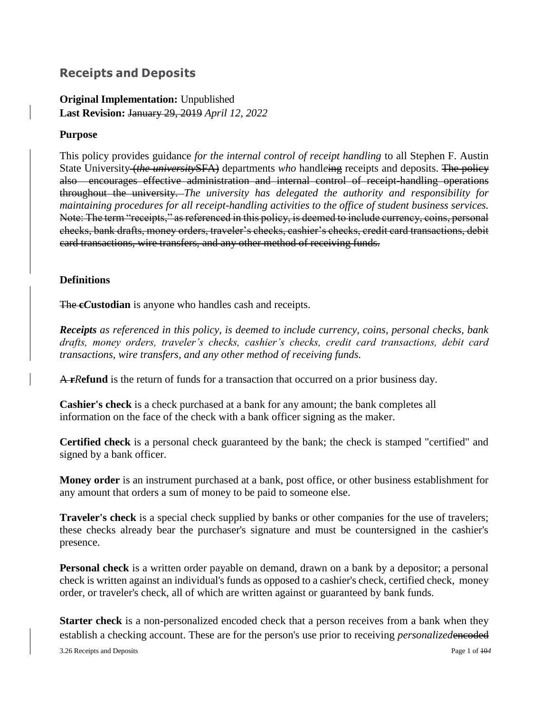# **Receipts and Deposits**

**Original Implementation:** Unpublished **Last Revision:** January 29, 2019 *April 12, 2022*

# **Purpose**

This policy provides guidance *for the internal control of receipt handling* to all Stephen F. Austin State University *(the university* SFA) departments *who* handleing receipts and deposits. The policy also encourages effective administration and internal control of receipt-handling operations throughout the university. *The university has delegated the authority and responsibility for maintaining procedures for all receipt-handling activities to the office of student business services.*  Note: The term "receipts," as referenced in this policy, is deemed to include currency, coins, personal checks, bank drafts, money orders, traveler's checks, cashier's checks, credit card transactions, debit card transactions, wire transfers, and any other method of receiving funds.

# **Definitions**

The **c***C***ustodian** is anyone who handles cash and receipts.

*Receipts as referenced in this policy, is deemed to include currency, coins, personal checks, bank drafts, money orders, traveler's checks, cashier's checks, credit card transactions, debit card transactions, wire transfers, and any other method of receiving funds.*

A **r***R***efund** is the return of funds for a transaction that occurred on a prior business day.

**Cashier's check** is a check purchased at a bank for any amount; the bank completes all information on the face of the check with a bank officer signing as the maker.

**Certified check** is a personal check guaranteed by the bank; the check is stamped "certified" and signed by a bank officer.

**Money order** is an instrument purchased at a bank, post office, or other business establishment for any amount that orders a sum of money to be paid to someone else.

**Traveler's check** is a special check supplied by banks or other companies for the use of travelers; these checks already bear the purchaser's signature and must be countersigned in the cashier's presence.

**Personal check** is a written order payable on demand, drawn on a bank by a depositor; a personal check is written against an individual's funds as opposed to a cashier's check, certified check, money order, or traveler's check, all of which are written against or guaranteed by bank funds.

**Starter check** is a non-personalized encoded check that a person receives from a bank when they establish a checking account. These are for the person's use prior to receiving *personalized* encoded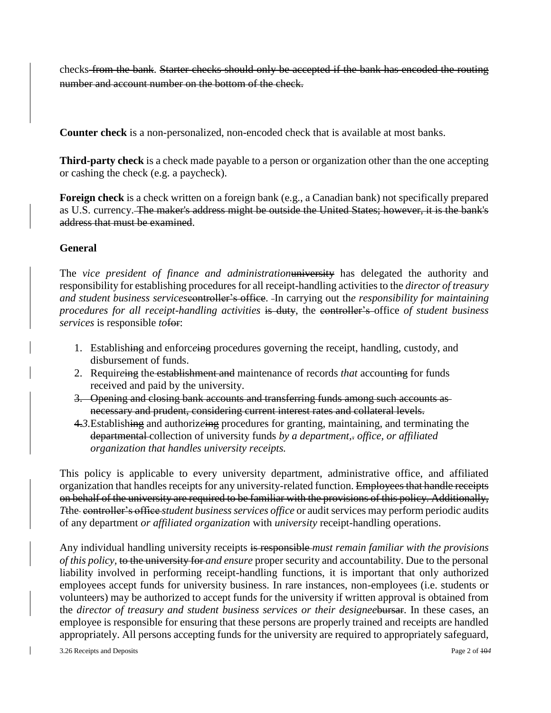checks from the bank. Starter checks should only be accepted if the bank has encoded the routing number and account number on the bottom of the check.

**Counter check** is a non-personalized, non-encoded check that is available at most banks.

**Third-party check** is a check made payable to a person or organization other than the one accepting or cashing the check (e.g. a paycheck).

**Foreign check** is a check written on a foreign bank (e.g., a Canadian bank) not specifically prepared as U.S. currency. The maker's address might be outside the United States; however, it is the bank's address that must be examined.

# **General**

The *vice president of finance and administration*university has delegated the authority and responsibility for establishing procedures for all receipt-handling activities to the *director of treasury and student business services*controller's office. In carrying out th*e responsibility for maintaining procedures for all receipt-handling activities* is duty, the controller's office *of student business services* is responsible *to*for:

- 1. Establishing and enforc*e*ing procedures governing the receipt, handling, custody, and disbursement of funds.
- 2. Requir*e*ing the establishment and maintenance of records *that* accounting for funds received and paid by the university.
- 3. Opening and closing bank accounts and transferring funds among such accounts as necessary and prudent, considering current interest rates and collateral levels.
- 4.*3.*Establishing and authoriz*e*ing procedures for granting, maintaining, and terminating the departmental collection of university funds *by a department,*. *office, or affiliated organization that handles university receipts.*

This policy is applicable to every university department, administrative office, and affiliated organization that handles receipts for any university-related function. Employees that handle receipts on behalf of the university are required to be familiar with the provisions of this policy. Additionally, *T*the controller's office *student business services office* or audit services may perform periodic audits of any department *or affiliated organization* with *university* receipt-handling operations.

Any individual handling university receipts is responsible *must remain familiar with the provisions of this policy,* to the university for *and ensure* proper security and accountability. Due to the personal liability involved in performing receipt-handling functions, it is important that only authorized employees accept funds for university business. In rare instances, non-employees (i.e. students or volunteers) may be authorized to accept fund*s* for the university if written approval is obtained from the *director of treasury and student business services or their designee*bursar. In these cases, an employee is responsible for ensuring that these persons are properly trained and receipts are handled appropriately. All persons accepting funds for the university are required to appropriately safeguard,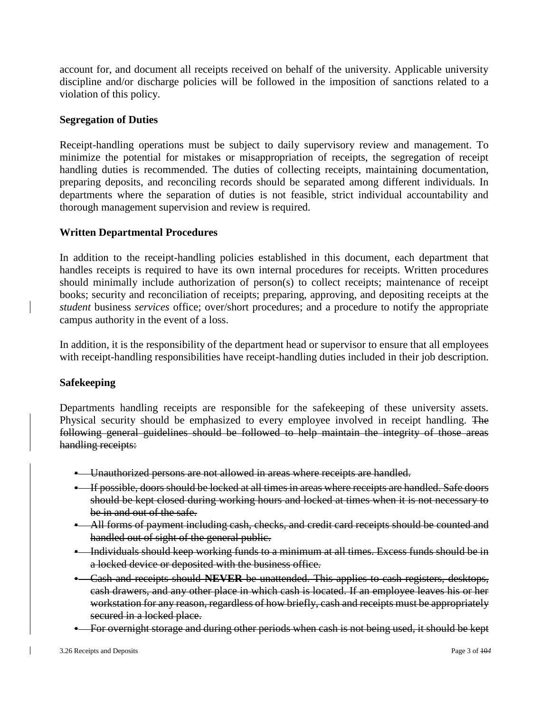account for, and document all receipts received on behalf of the university. Applicable university discipline and/or discharge policies will be followed in the imposition of sanctions related to a violation of this policy.

## **Segregation of Duties**

Receipt-handling operations must be subject to daily supervisory review and management. To minimize the potential for mistakes or misappropriation of receipts, the segregation of receipt handling duties is recommended. The duties of collecting receipts, maintaining documentation, preparing deposits, and reconciling records should be separated among different individuals. In departments where the separation of duties is not feasible, strict individual accountability and thorough management supervision and review is required.

### **Written Departmental Procedures**

In addition to the receipt-handling policies established in this document, each department that handles receipts is required to have its own internal procedures for receipts. Written procedures should minimally include authorization of person(s) to collect receipts; maintenance of receipt books; security and reconciliation of receipts; preparing, approving, and depositing receipts at the *student* business *services* office; over/short procedures; and a procedure to notify the appropriate campus authority in the event of a loss.

In addition, it is the responsibility of the department head or supervisor to ensure that all employees with receipt-handling responsibilities have receipt-handling duties included in their job description.

## **Safekeeping**

Departments handling receipts are responsible for the safekeeping of these university assets. Physical security should be emphasized to every employee involved in receipt handling. The following general guidelines should be followed to help maintain the integrity of those areas handling receipts:

- Unauthorized persons are not allowed in areas where receipts are handled.
- If possible, doors should be locked at all times in areas where receipts are handled. Safe doors should be kept closed during working hours and locked at times when it is not necessary to be in and out of the safe.
- All forms of payment including cash, checks, and credit card receipts should be counted and handled out of sight of the general public.
- **•** Individuals should keep working funds to a minimum at all times. Excess funds should be in a locked device or deposited with the business office.
- Cash and receipts should **NEVER** be unattended. This applies to cash registers, desktops, cash drawers, and any other place in which cash is located. If an employee leaves his or her workstation for any reason, regardless of how briefly, cash and receipts must be appropriately secured in a locked place.
- For overnight storage and during other periods when cash is not being used, it should be kept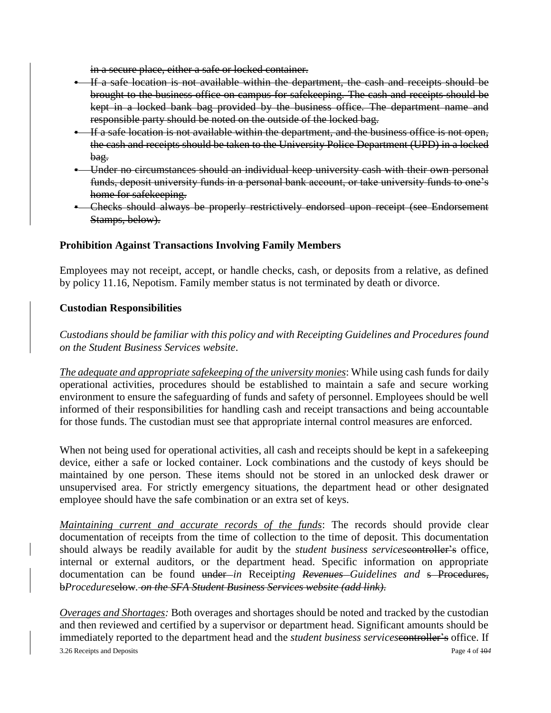in a secure place, either a safe or locked container.

- If a safe location is not available within the department, the cash and receipts should be brought to the business office on campus for safekeeping. The cash and receipts should be kept in a locked bank bag provided by the business office. The department name and responsible party should be noted on the outside of the locked bag.
- If a safe location is not available within the department, and the business office is not open, the cash and receipts should be taken to the University Police Department (UPD) in a locked bag.
- Under no circumstances should an individual keep university cash with their own personal funds, deposit university funds in a personal bank account, or take university funds to one's home for safekeeping.
- Checks should always be properly restrictively endorsed upon receipt (see Endorsement Stamps, below).

# **Prohibition Against Transactions Involving Family Members**

Employees may not receipt, accept, or handle checks, cash, or deposits from a relative, as defined by policy 11.16, Nepotism. Family member status is not terminated by death or divorce.

# **Custodian Responsibilities**

*Custodians should be familiar with this policy and with Receipting Guidelines and Procedures found on the Student Business Services website*.

*The adequate and appropriate safekeeping of the university monies*: While using cash funds for daily operational activities, procedures should be established to maintain a safe and secure working environment to ensure the safeguarding of funds and safety of personnel. Employees should be well informed of their responsibilities for handling cash and receipt transactions and being accountable for those funds. The custodian must see that appropriate internal control measures are enforced.

When not being used for operational activities, all cash and receipts should be kept in a safekeeping device, either a safe or locked container. Lock combinations and the custody of keys should be maintained by one person. These items should not be stored in an unlocked desk drawer or unsupervised area. For strictly emergency situations, the department head or other designated employee should have the safe combination or an extra set of keys.

*Maintaining current and accurate records of the funds*: The records should provide clear documentation of receipts from the time of collection to the time of deposit. This documentation should always be readily available for audit by the *student business services*controller's office, internal or external auditors, or the department head. Specific information on appropriate documentation can be found under *in* Receipt*ing Revenues Guidelines and* s Procedures, b*Procedures*elow*. on the SFA Student Business Services website (add link)*.

3.26 Receipts and Deposits Page 4 of 10*4 Overages and Shortages:* Both overages and shortages should be noted and tracked by the custodian and then reviewed and certified by a supervisor or department head. Significant amounts should be immediately reported to the department head and the *student business services*controller's office. If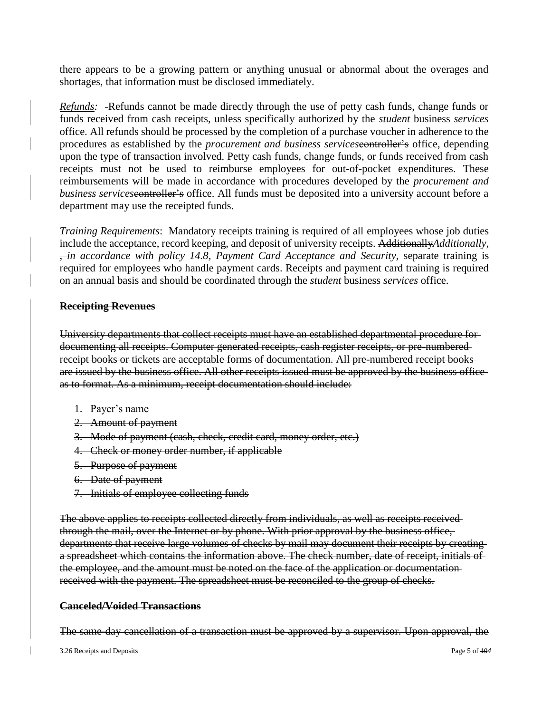there appears to be a growing pattern or anything unusual or abnormal about the overages and shortages, that information must be disclosed immediately.

*Refunds:* -Refunds cannot be made directly through the use of petty cash funds, change funds or funds received from cash receipts, unless specifically authorized by the *student* business *services*  office. All refunds should be processed by the completion of a purchase voucher in adherence to the procedures as established by the *procurement and business services*controller's office, depending upon the type of transaction involved. Petty cash funds, change funds, or funds received from cash receipts must not be used to reimburse employees for out-of-pocket expenditures. These reimbursements will be made in accordance with procedures developed by the *procurement and business services*controller's office. All funds must be deposited into a university account before a department may use the receipted funds.

*Training Requirements*: Mandatory receipts training is required of all employees whose job duties include the acceptance, record keeping, and deposit of university receipts. Additionally*Additionally,* , *in accordance with policy 14.8, Payment Card Acceptance and Security,* separate training is required for employees who handle payment cards. Receipts and payment card training is required on an annual basis and should be coordinated through the *student* business *services* office.

### **Receipting Revenues**

University departments that collect receipts must have an established departmental procedure for documenting all receipts. Computer generated receipts, cash register receipts, or pre-numbered receipt books or tickets are acceptable forms of documentation. All pre-numbered receipt books are issued by the business office. All other receipts issued must be approved by the business office as to format. As a minimum, receipt documentation should include:

- 1. Payer's name
- 2. Amount of payment
- 3. Mode of payment (cash, check, credit card, money order, etc.)
- 4. Check or money order number, if applicable
- 5. Purpose of payment
- 6. Date of payment
- 7. Initials of employee collecting funds

The above applies to receipts collected directly from individuals, as well as receipts received through the mail, over the Internet or by phone. With prior approval by the business office, departments that receive large volumes of checks by mail may document their receipts by creating a spreadsheet which contains the information above. The check number, date of receipt, initials of the employee, and the amount must be noted on the face of the application or documentation received with the payment. The spreadsheet must be reconciled to the group of checks.

#### **Canceled/Voided Transactions**

The same-day cancellation of a transaction must be approved by a supervisor. Upon approval, the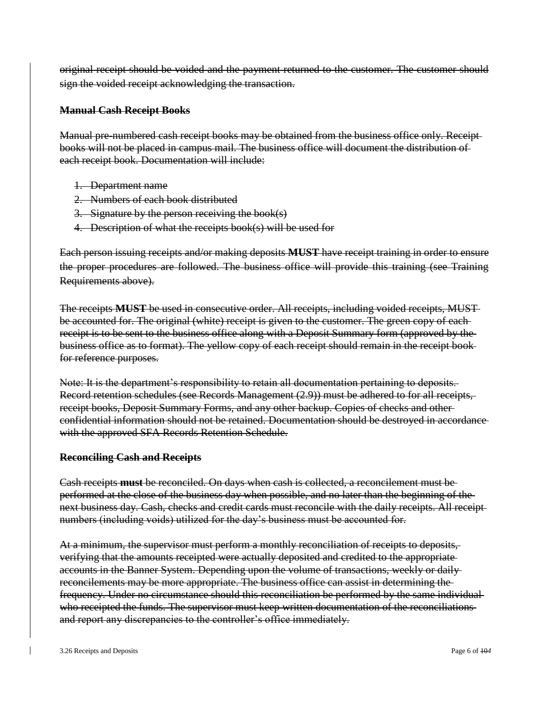original receipt should be voided and the payment returned to the customer. The customer should sign the voided receipt acknowledging the transaction.

#### **Manual Cash Receipt Books**

Manual pre-numbered cash receipt books may be obtained from the business office only. Receipt books will not be placed in campus mail. The business office will document the distribution of each receipt book. Documentation will include:

- 1. Department name
- 2. Numbers of each book distributed
- 3. Signature by the person receiving the book(s)
- 4. Description of what the receipts book(s) will be used for

Each person issuing receipts and/or making deposits **MUST** have receipt training in order to ensure the proper procedures are followed. The business office will provide this training (see Training Requirements above).

The receipts **MUST** be used in consecutive order. All receipts, including voided receipts, MUST be accounted for. The original (white) receipt is given to the customer. The green copy of eachreceipt is to be sent to the business office along with a Deposit Summary form (approved by the business office as to format). The yellow copy of each receipt should remain in the receipt book for reference purposes.

Note: It is the department's responsibility to retain all documentation pertaining to deposits. Record retention schedules (see Records Management (2.9)) must be adhered to for all receipts, receipt books, Deposit Summary Forms, and any other backup. Copies of checks and other confidential information should not be retained. Documentation should be destroyed in accordance with the approved SFA Records Retention Schedule.

## **Reconciling Cash and Receipts**

Cash receipts **must** be reconciled. On days when cash is collected, a reconcilement must be performed at the close of the business day when possible, and no later than the beginning of the next business day. Cash, checks and credit cards must reconcile with the daily receipts. All receipt numbers (including voids) utilized for the day's business must be accounted for.

At a minimum, the supervisor must perform a monthly reconciliation of receipts to deposits, verifying that the amounts receipted were actually deposited and credited to the appropriate accounts in the Banner System. Depending upon the volume of transactions, weekly or daily reconcilements may be more appropriate. The business office can assist in determining the frequency. Under no circumstance should this reconciliation be performed by the same individual who receipted the funds. The supervisor must keep written documentation of the reconciliations and report any discrepancies to the controller's office immediately.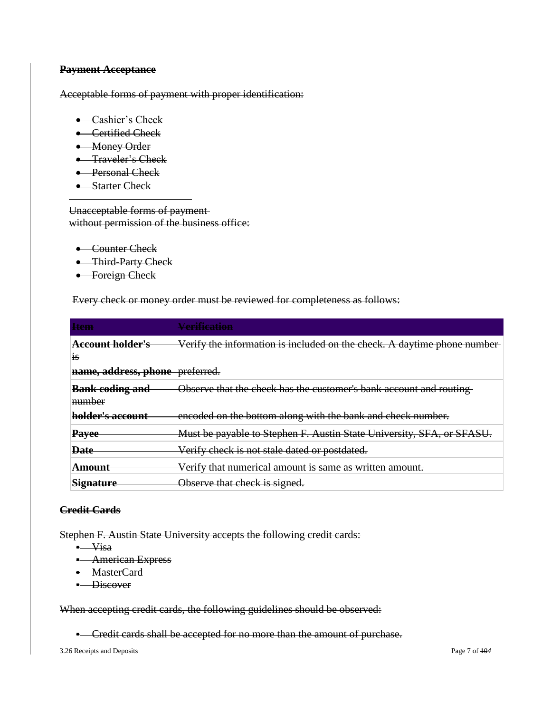### **Payment Acceptance**

Acceptable forms of payment with proper identification:

- Cashier's Check
- **•** Certified Check
- Money Order
- **•** Traveler's Check
- Personal Check
- Starter Check

Unacceptable forms of payment without permission of the business office:

- Counter Check
- Third-Party Check
- Foreign Check

Every check or money order must be reviewed for completeness as follows:

| <b>Item</b>                      | <u>Verification</u>                                                     |
|----------------------------------|-------------------------------------------------------------------------|
| <b>Account holder's</b><br>1S    | Verify the information is included on the check. A daytime phone number |
| name, address, phone preferred.  |                                                                         |
| <b>Bank coding and</b><br>number | Observe that the check has the customer's bank account and routing      |
| holder's account                 | encoded on the bottom along with the bank and check number.             |
| <b>Payee</b>                     | Must be payable to Stephen F. Austin State University, SFA, or SFASU.   |
| <b>Date</b>                      | Verify check is not stale dated or postdated.                           |
| <del>Amount</del>                | Verify that numerical amount is same as written amount.                 |
| <b>Signature</b>                 | Observe that check is signed.                                           |

## **Credit Cards**

Stephen F. Austin State University accepts the following credit cards:

- Visa
- **-** American Express
- MasterCard
- **•** Discover

When accepting credit cards, the following guidelines should be observed:

▪ Credit cards shall be accepted for no more than the amount of purchase.

3.26 Receipts and Deposits Page 7 of 10*4*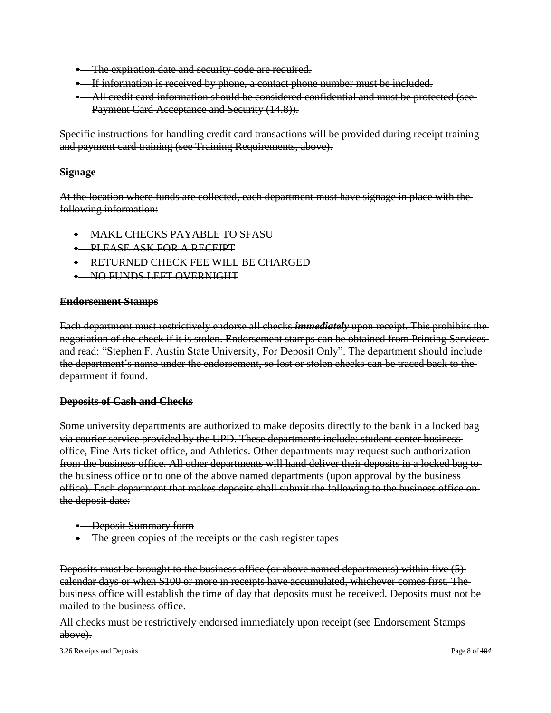- **•** The expiration date and security code are required.
- If information is received by phone, a contact phone number must be included.
- All credit card information should be considered confidential and must be protected (see Payment Card Acceptance and Security (14.8)).

Specific instructions for handling credit card transactions will be provided during receipt training and payment card training (see Training Requirements, above).

#### **Signage**

At the location where funds are collected, each department must have signage in place with the following information:

**• MAKE CHECKS PAYABLE TO SFASU** 

- PLEASE ASK FOR A RECEIPT
- **RETURNED CHECK FEE WILL BE CHARGED**
- NO FUNDS LEFT OVERNIGHT

#### **Endorsement Stamps**

Each department must restrictively endorse all checks *immediately* upon receipt. This prohibits the negotiation of the check if it is stolen. Endorsement stamps can be obtained from Printing Services and read: "Stephen F. Austin State University, For Deposit Only". The department should include the department's name under the endorsement, so lost or stolen checks can be traced back to the department if found.

#### **Deposits of Cash and Checks**

Some university departments are authorized to make deposits directly to the bank in a locked bag via courier service provided by the UPD. These departments include: student center business office, Fine Arts ticket office, and Athletics. Other departments may request such authorization from the business office. All other departments will hand deliver their deposits in a locked bag to the business office or to one of the above named departments (upon approval by the business office). Each department that makes deposits shall submit the following to the business office on the deposit date:

- Deposit Summary form
- **The green copies of the receipts or the cash register tapes**

Deposits must be brought to the business office (or above named departments) within five (5) calendar days or when \$100 or more in receipts have accumulated, whichever comes first. The business office will establish the time of day that deposits must be received. Deposits must not be mailed to the business office.

All checks must be restrictively endorsed immediately upon receipt (see Endorsement Stamps above).